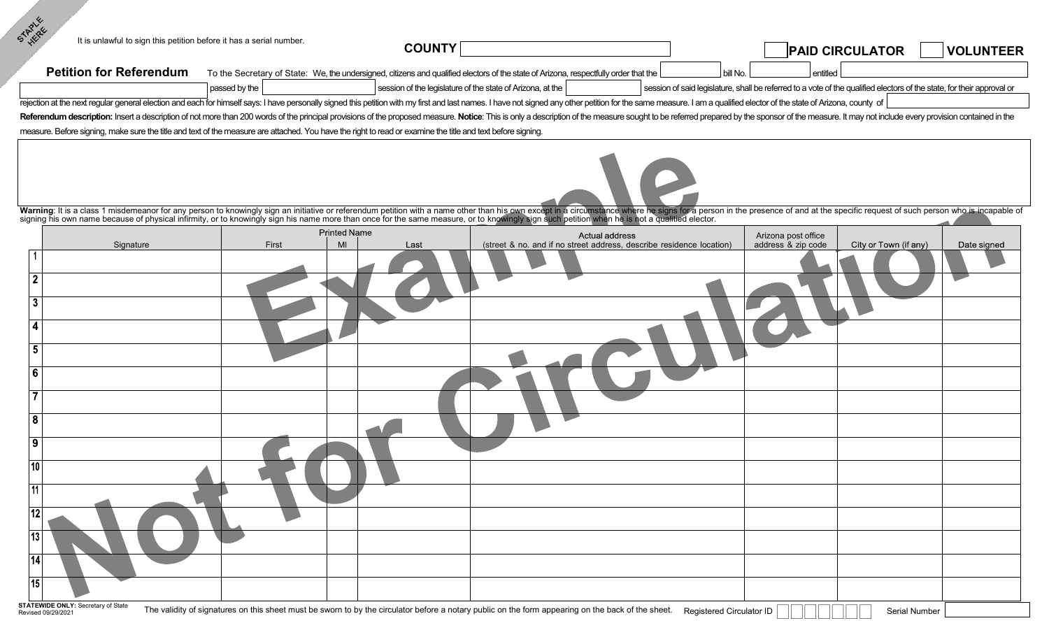| STARLE<br>It is unlawful to sign this petition before it has a serial number.                                                                                                                                                  |               | <b>COUNTY</b>                     |                                                                                                                                      |                                                                                        |          | <b>PAID CIRCULATOR  </b>                                                                                               | <b>VOLUNTEER</b> |
|--------------------------------------------------------------------------------------------------------------------------------------------------------------------------------------------------------------------------------|---------------|-----------------------------------|--------------------------------------------------------------------------------------------------------------------------------------|----------------------------------------------------------------------------------------|----------|------------------------------------------------------------------------------------------------------------------------|------------------|
| <b>Petition for Referendum</b>                                                                                                                                                                                                 |               |                                   | To the Secretary of State: We, the undersigned, citizens and qualified electors of the state of Arizona, respectfully order that the |                                                                                        | bill No. | entitled                                                                                                               |                  |
|                                                                                                                                                                                                                                | passed by the |                                   | session of the legislature of the state of Arizona, at the                                                                           |                                                                                        |          | session of said legislature, shall be referred to a vote of the qualified electors of the state, for their approval or |                  |
| rejection at the next regular general election and each for himself says: I have personally signed this petition with my first and last names. I have not signed any other petition for the same measure. I am a qualified ele |               |                                   |                                                                                                                                      |                                                                                        |          |                                                                                                                        |                  |
| Referendum description: Insert a description of not more than 200 words of the principal provisions of the proposed measure. Notice: This is only a description of the measure sought to be referred prepared by the sponsor o |               |                                   |                                                                                                                                      |                                                                                        |          |                                                                                                                        |                  |
| measure. Before signing, make sure the title and text of the measure are attached. You have the right to read or examine the title and text before signing.                                                                    |               |                                   |                                                                                                                                      |                                                                                        |          |                                                                                                                        |                  |
| Warning: It is a class 1 misdemeanor for any person to knowingly sign an initiative or referendum petition with a name other than his own except in a circumstance where he signs for a person in the presence of and at the s |               |                                   |                                                                                                                                      |                                                                                        |          |                                                                                                                        |                  |
|                                                                                                                                                                                                                                |               |                                   |                                                                                                                                      |                                                                                        |          |                                                                                                                        |                  |
| Signature                                                                                                                                                                                                                      | First         | <b>Printed Name</b><br>MI<br>Last |                                                                                                                                      | Actual address<br>(street & no. and if no street address, describe residence location) |          | Arizona post office<br>address & zip code<br>City or Town (if any)                                                     | Date signed      |
|                                                                                                                                                                                                                                |               |                                   |                                                                                                                                      |                                                                                        |          |                                                                                                                        |                  |
|                                                                                                                                                                                                                                |               |                                   |                                                                                                                                      |                                                                                        |          |                                                                                                                        |                  |
|                                                                                                                                                                                                                                |               |                                   |                                                                                                                                      |                                                                                        |          |                                                                                                                        |                  |
|                                                                                                                                                                                                                                |               |                                   |                                                                                                                                      |                                                                                        |          |                                                                                                                        |                  |
|                                                                                                                                                                                                                                |               |                                   |                                                                                                                                      |                                                                                        |          |                                                                                                                        |                  |
|                                                                                                                                                                                                                                |               |                                   |                                                                                                                                      |                                                                                        |          |                                                                                                                        |                  |
|                                                                                                                                                                                                                                |               |                                   |                                                                                                                                      |                                                                                        |          |                                                                                                                        |                  |
|                                                                                                                                                                                                                                |               |                                   |                                                                                                                                      |                                                                                        |          |                                                                                                                        |                  |
|                                                                                                                                                                                                                                |               |                                   |                                                                                                                                      |                                                                                        |          |                                                                                                                        |                  |
|                                                                                                                                                                                                                                |               |                                   |                                                                                                                                      |                                                                                        |          |                                                                                                                        |                  |
|                                                                                                                                                                                                                                |               |                                   |                                                                                                                                      |                                                                                        |          |                                                                                                                        |                  |
|                                                                                                                                                                                                                                |               |                                   |                                                                                                                                      |                                                                                        |          |                                                                                                                        |                  |
|                                                                                                                                                                                                                                |               |                                   |                                                                                                                                      |                                                                                        |          |                                                                                                                        |                  |
|                                                                                                                                                                                                                                |               |                                   |                                                                                                                                      |                                                                                        |          |                                                                                                                        |                  |
|                                                                                                                                                                                                                                |               |                                   |                                                                                                                                      |                                                                                        |          |                                                                                                                        |                  |
|                                                                                                                                                                                                                                |               |                                   |                                                                                                                                      |                                                                                        |          |                                                                                                                        |                  |
|                                                                                                                                                                                                                                |               |                                   |                                                                                                                                      |                                                                                        |          |                                                                                                                        |                  |
|                                                                                                                                                                                                                                |               |                                   |                                                                                                                                      |                                                                                        |          |                                                                                                                        |                  |
|                                                                                                                                                                                                                                |               |                                   |                                                                                                                                      |                                                                                        |          |                                                                                                                        |                  |
|                                                                                                                                                                                                                                |               |                                   |                                                                                                                                      |                                                                                        |          |                                                                                                                        |                  |
|                                                                                                                                                                                                                                |               |                                   |                                                                                                                                      |                                                                                        |          |                                                                                                                        |                  |
|                                                                                                                                                                                                                                |               |                                   |                                                                                                                                      |                                                                                        |          |                                                                                                                        |                  |